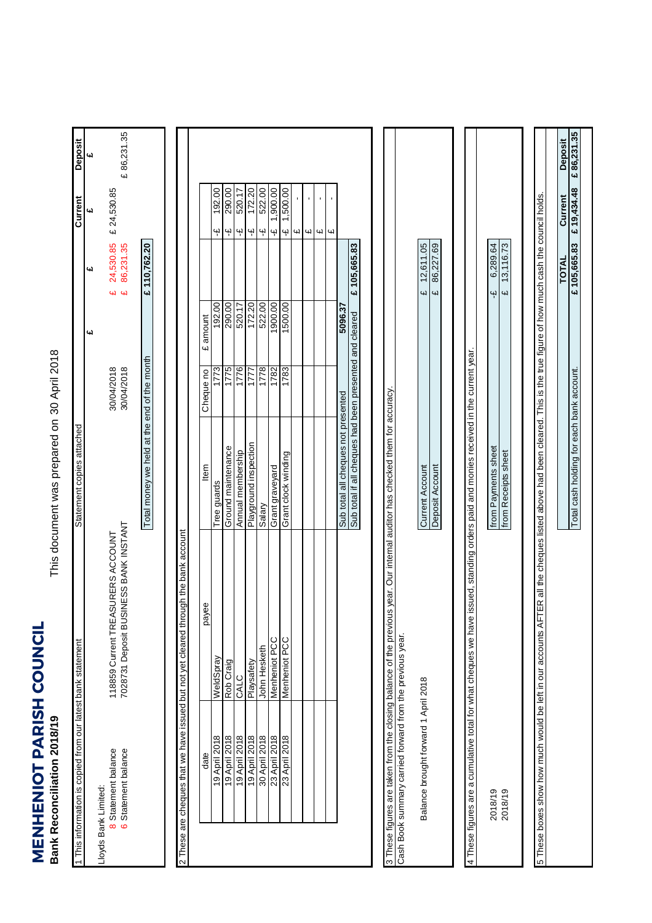## **MENHENIOT PARISH COUNCIL**<br>Bank Reconciliation 2018/19 **MENHENIOT PARISH COUNCIL Bank Reconciliation 2018/19**

This document was prepared on 30 April 2018 This document was prepared on

| 1 This information is copied from our latest bank statement        |                                                                                                                              | Statement copies attached                                                                                     |                          |          |                                                        | Current                                   | Deposit               |
|--------------------------------------------------------------------|------------------------------------------------------------------------------------------------------------------------------|---------------------------------------------------------------------------------------------------------------|--------------------------|----------|--------------------------------------------------------|-------------------------------------------|-----------------------|
|                                                                    |                                                                                                                              |                                                                                                               |                          | یما      | <b>CH</b>                                              | 4d                                        | 4d                    |
| 8 Statement balance<br>6 Statement balance<br>Lloyds Bank Limited: | 7028731 Deposit BUSINESS BANK INSTANT<br>118859 Current TREASURERS ACCOUNT                                                   |                                                                                                               | 30/04/2018<br>30/04/2018 |          | 24,530.85<br>86,231.35<br>$\overline{\mathbf{u}}$<br>£ | £ 24,530.85                               | £86,231.35            |
|                                                                    |                                                                                                                              | Total money we held at the end of the month                                                                   |                          |          | £ 110,762.20                                           |                                           |                       |
|                                                                    | 2 These are cheques that we have issued but not yet cleared through the bank account                                         |                                                                                                               |                          |          |                                                        |                                           |                       |
| date                                                               | payee                                                                                                                        | ltem                                                                                                          | Cheque no                | £ amount |                                                        |                                           |                       |
| 19 April 2018                                                      | WeldSpray                                                                                                                    | Tree guards                                                                                                   | 1773                     | 192.00   |                                                        | 192.00<br>Ψ                               |                       |
| 19 April 2018                                                      | Rob Craig                                                                                                                    | Ground maintenance                                                                                            | 1775                     | 290.00   |                                                        | 290.00<br>Ψ                               |                       |
| 19 April 2018                                                      | CALC                                                                                                                         | Annual membership                                                                                             | 1776                     | 520.17   |                                                        | 520.17<br>$\mathfrak{P}$                  |                       |
| 19 April 2018                                                      | Playsafety                                                                                                                   | Playground inspection                                                                                         | 1777                     | 172.20   |                                                        | 172.20<br>ىپە                             |                       |
| 30 April 2018                                                      | John Hesketh                                                                                                                 | Salary                                                                                                        | 1778                     | 522.00   |                                                        | 522.00<br>$\ddot{\mathbf{r}}$             |                       |
| 23 April 2018                                                      | Menheniot PCC                                                                                                                | Grant graveyard                                                                                               | 1782                     | 1900.00  |                                                        | 1,900.00<br>$\ddot{\mathbf{r}}$           |                       |
| 23 April 2018                                                      | Menheniot PCC                                                                                                                | Grant clock winding                                                                                           | 1783                     | 1500.00  |                                                        | 1,500.00<br>Ψ                             |                       |
|                                                                    |                                                                                                                              |                                                                                                               |                          |          |                                                        | Щ                                         |                       |
|                                                                    |                                                                                                                              |                                                                                                               |                          |          |                                                        | $\blacksquare$<br>$\omega$                |                       |
|                                                                    |                                                                                                                              |                                                                                                               |                          |          |                                                        | $\blacksquare$<br>4                       |                       |
|                                                                    |                                                                                                                              |                                                                                                               |                          |          |                                                        | $\blacksquare$<br>$\overline{\mathbf{u}}$ |                       |
|                                                                    |                                                                                                                              | Sub total all cheques not presented                                                                           |                          | 5096.37  |                                                        |                                           |                       |
|                                                                    |                                                                                                                              | Sub total if all cheques had been presented and cleared                                                       |                          |          | £105,665.83                                            |                                           |                       |
| Cash Book summary carried forward from the previous year.          | 3 These figures are taken from the closing balance of the previous year. Our internal auditor has checked them for accuracy. |                                                                                                               |                          |          |                                                        |                                           |                       |
| Balance brought forward 1 April 2018                               |                                                                                                                              | <b>Current Account</b>                                                                                        |                          |          | 12,611.05<br>4                                         |                                           |                       |
|                                                                    |                                                                                                                              | Deposit Account                                                                                               |                          |          | 86,227.69<br>41                                        |                                           |                       |
|                                                                    |                                                                                                                              |                                                                                                               |                          |          |                                                        |                                           |                       |
| 4 These figures are a cumulative total for what cheques we have    |                                                                                                                              | issued, standing orders paid and monies received in the current year.                                         |                          |          |                                                        |                                           |                       |
| 2018/19                                                            |                                                                                                                              | from Payments sheet                                                                                           |                          |          | 6,289.64<br>٩ł                                         |                                           |                       |
| 2018/19                                                            |                                                                                                                              | from Receipts sheet                                                                                           |                          |          | 13,116.73<br>$\overline{a}$                            |                                           |                       |
|                                                                    |                                                                                                                              |                                                                                                               |                          |          |                                                        |                                           |                       |
| 5 These boxes show how much would be left in our accounts AFT      |                                                                                                                              | ER all the cheques listed above had been cleared. This is the true figure of how much cash the council holds. |                          |          |                                                        |                                           |                       |
|                                                                    |                                                                                                                              | Total cash holding for each bank account.                                                                     |                          |          | £105,665.83<br>TOTAL                                   | £19,434.48<br>Current                     | £86,231.35<br>Deposit |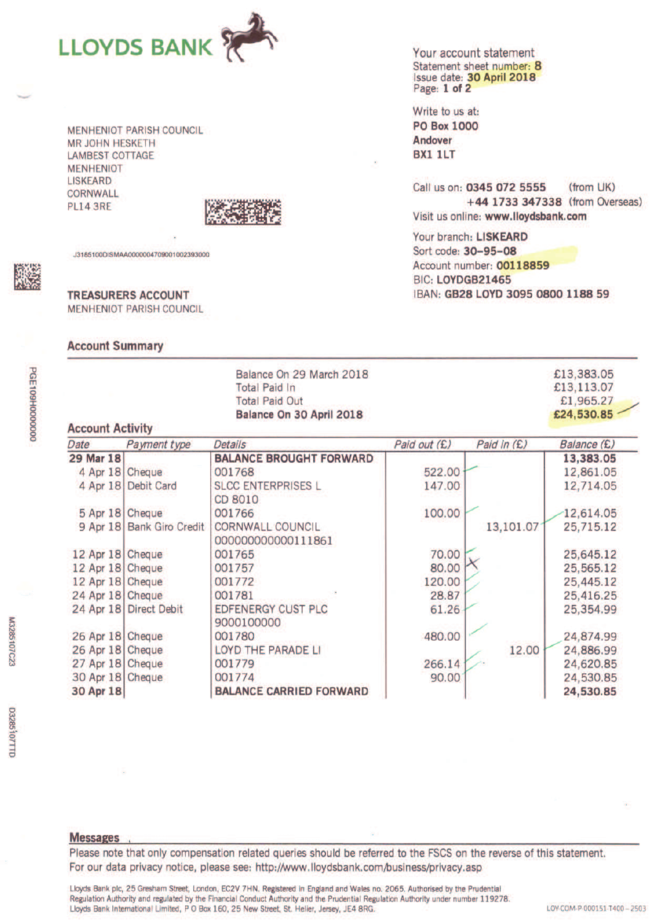

**MENHENIOT PARISH COUNCIL MR JOHN HESKETH LAMBEST COTTAGE MENHENIOT LISKEARD CORNWALL PL14 3RE** 



J3185100DISMAA0000004709001002393000

**TREASURERS ACCOUNT MENHENIOT PARISH COUNCIL** 

## **Account Summary**

Your account statement Statement sheet number: 8 Issue date: 30 April 2018 Page: 1 of 2

Write to us at: **PO Box 1000** Andover **BX1 1LT** 

Call us on: 0345 072 5555 (from UK) +44 1733 347338 (from Overseas) Visit us online: www.lloydsbank.com

Your branch: LISKEARD Sort code: 30-95-08 Account number: 00118859 BIC: LOYDGB21465 IBAN: GB28 LOYD 3095 0800 1188 59

| <b>Account Activity</b> | £13,383.05<br>£13,113.07<br>£1,965.27<br>£24,530.85 |                                               |              |             |             |
|-------------------------|-----------------------------------------------------|-----------------------------------------------|--------------|-------------|-------------|
| Date                    | Payment type                                        | <b>Details</b>                                | Paid out (£) | Paid in (£) | Balance (£) |
| 29 Mar 18               |                                                     | <b>BALANCE BROUGHT FORWARD</b>                |              |             | 13,383.05   |
| 4 Apr 18                | Cheque                                              | 001768                                        | 522.00       |             | 12,861.05   |
| 4 Apr 18                | Debit Card                                          | <b>SLCC ENTERPRISES L</b><br>CD 8010          | 147.00       |             | 12,714.05   |
| 5 Apr 18                | Cheque                                              | 001766                                        | 100.00       |             | 12,614.05   |
| 9 Apr 18                | <b>Bank Giro Credit</b>                             | <b>CORNWALL COUNCIL</b><br>000000000000111861 |              | 13,101.07   | 25,715.12   |
| 12 Apr 18               | Cheque                                              | 001765                                        | 70.00        |             | 25,645.12   |
| 12 Apr 18               | Cheque                                              | 001757                                        | 80.00        |             | 25,565.12   |
| 12 Apr 18               | Cheque                                              | 001772                                        | 120.00       |             | 25,445.12   |
| 24 Apr 18 Cheque        |                                                     | 001781                                        | 28.87        |             | 25,416.25   |
| 24 Apr 18               | <b>Direct Debit</b>                                 | <b>EDFENERGY CUST PLC</b><br>9000100000       | 61.26        |             | 25,354.99   |
| 26 Apr 18               | Cheque                                              | 001780                                        | 480.00       |             | 24,874.99   |
| 26 Apr 18               | Cheque                                              | LOYD THE PARADE LI                            |              | 12.00       | 24,886.99   |
| 27 Apr 18 Cheque        |                                                     | 001779                                        | 266.14       |             | 24,620.85   |
| 30 Apr 18 Cheque        |                                                     | 001774                                        | 90.00        |             | 24,530.85   |
| 30 Apr 18               |                                                     | <b>BALANCE CARRIED FORWARD</b>                |              |             | 24,530.85   |

M3285107C23

**bGE1090000000000** 

**Messages** 

Please note that only compensation related queries should be referred to the FSCS on the reverse of this statement. For our data privacy notice, please see: http://www.lloydsbank.com/business/privacy.asp

Lloyds Bank plc, 25 Gresham Street, London, EC2V 7HN. Registered in England and Wales no. 2065. Authorised by the Prudential Regulation Authority and regulated by the Financial Conduct Authority and the Prudential Regulation Authority under number 119278. Lloyds Bank International Limited, P O Box 160, 25 New Street, St. Helier, Jersey, JE4 8RG.